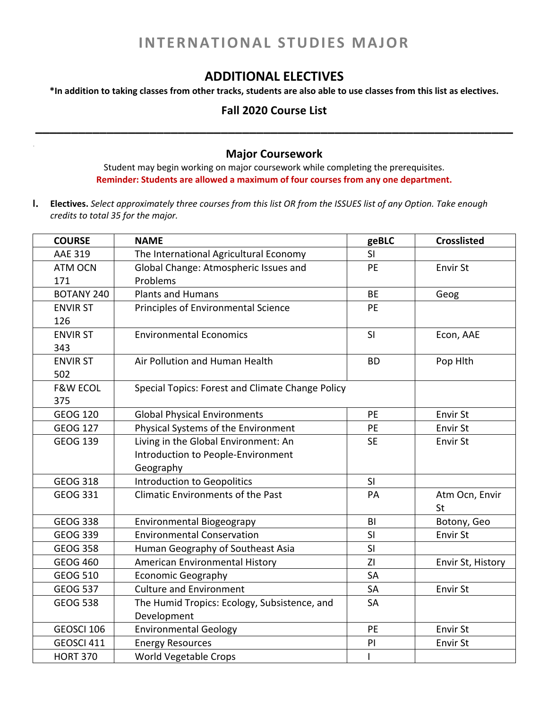## **INTERNATIONAL STUDIES MAJOR**

## **ADDITIONAL ELECTIVES**

\*In addition to taking classes from other tracks, students are also able to use classes from this list as electives.

## **Fall 2020 Course List \_\_\_\_\_\_\_\_\_\_\_\_\_\_\_\_\_\_\_\_\_\_\_\_\_\_\_\_\_\_\_\_\_\_\_\_\_\_\_\_\_\_\_\_\_\_\_\_\_\_\_\_\_\_\_\_\_\_\_\_\_\_\_\_\_\_\_**

## **Major Coursework**

Student may begin working on major coursework while completing the prerequisites. **Reminder: Students are allowed a maximum of four courses from any one department.**

I. Electives. Select approximately three courses from this list OR from the ISSUES list of any Option. Take enough *credits to total 35 for the major.*

| <b>COURSE</b>       | <b>NAME</b>                                      | geBLC     | <b>Crosslisted</b> |
|---------------------|--------------------------------------------------|-----------|--------------------|
| <b>AAE 319</b>      | The International Agricultural Economy           | SI        |                    |
| <b>ATM OCN</b>      | Global Change: Atmospheric Issues and            | PE        | Envir St           |
| 171                 | Problems                                         |           |                    |
| <b>BOTANY 240</b>   | <b>Plants and Humans</b>                         | <b>BE</b> | Geog               |
| <b>ENVIR ST</b>     | Principles of Environmental Science              | <b>PE</b> |                    |
| 126                 |                                                  |           |                    |
| <b>ENVIR ST</b>     | <b>Environmental Economics</b>                   | SI        | Econ, AAE          |
| 343                 |                                                  |           |                    |
| <b>ENVIR ST</b>     | Air Pollution and Human Health                   | <b>BD</b> | Pop Hlth           |
| 502                 |                                                  |           |                    |
| <b>F&amp;W ECOL</b> | Special Topics: Forest and Climate Change Policy |           |                    |
| 375                 |                                                  |           |                    |
| <b>GEOG 120</b>     | <b>Global Physical Environments</b>              | PE        | Envir St           |
| <b>GEOG 127</b>     | Physical Systems of the Environment              | PE        | Envir St           |
| <b>GEOG 139</b>     | Living in the Global Environment: An             | <b>SE</b> | Envir St           |
|                     | Introduction to People-Environment               |           |                    |
|                     | Geography                                        |           |                    |
| <b>GEOG 318</b>     | <b>Introduction to Geopolitics</b>               | SI        |                    |
| <b>GEOG 331</b>     | <b>Climatic Environments of the Past</b>         | PA        | Atm Ocn, Envir     |
|                     |                                                  |           | St                 |
| <b>GEOG 338</b>     | <b>Environmental Biogeograpy</b>                 | BI        | Botony, Geo        |
| <b>GEOG 339</b>     | <b>Environmental Conservation</b>                | SI        | Envir St           |
| <b>GEOG 358</b>     | Human Geography of Southeast Asia                | SI        |                    |
| <b>GEOG 460</b>     | American Environmental History                   | ZI        | Envir St, History  |
| <b>GEOG 510</b>     | <b>Economic Geography</b>                        | SA        |                    |
| <b>GEOG 537</b>     | <b>Culture and Environment</b>                   | SA        | Envir St           |
| <b>GEOG 538</b>     | The Humid Tropics: Ecology, Subsistence, and     | SA        |                    |
|                     | Development                                      |           |                    |
| GEOSCI 106          | <b>Environmental Geology</b>                     | PE        | Envir St           |
| GEOSCI 411          | <b>Energy Resources</b>                          | PI        | Envir St           |
| <b>HORT 370</b>     | World Vegetable Crops                            | L         |                    |